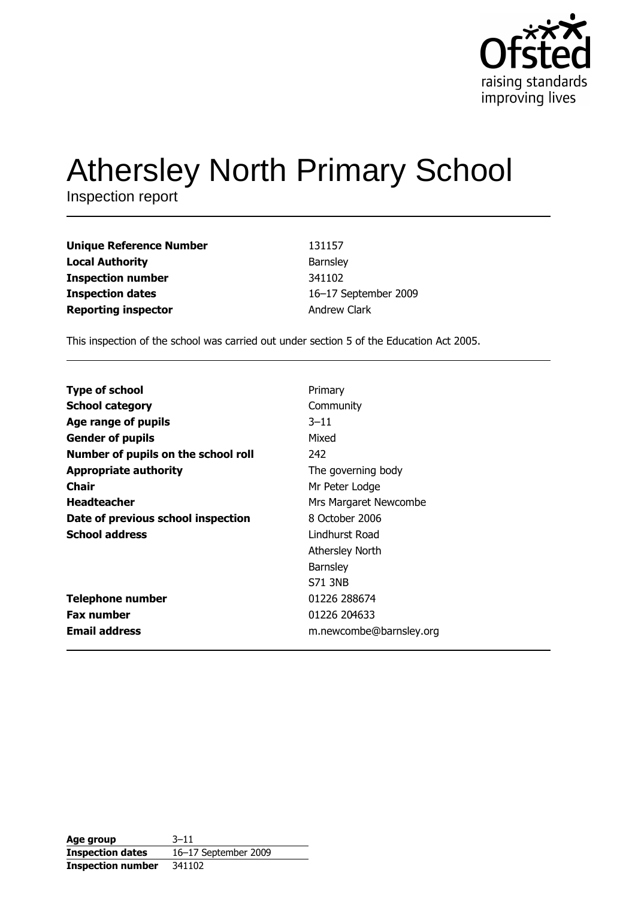

# **Athersley North Primary School**

Inspection report

| <b>Unique Reference Number</b> | 131157               |
|--------------------------------|----------------------|
| <b>Local Authority</b>         | Barnsley             |
| <b>Inspection number</b>       | 341102               |
| <b>Inspection dates</b>        | 16-17 September 2009 |
| <b>Reporting inspector</b>     | <b>Andrew Clark</b>  |

This inspection of the school was carried out under section 5 of the Education Act 2005.

| <b>Type of school</b>               | Primary                 |
|-------------------------------------|-------------------------|
| <b>School category</b>              | Community               |
| Age range of pupils                 | $3 - 11$                |
| <b>Gender of pupils</b>             | Mixed                   |
| Number of pupils on the school roll | 242                     |
| <b>Appropriate authority</b>        | The governing body      |
| Chair                               | Mr Peter Lodge          |
| <b>Headteacher</b>                  | Mrs Margaret Newcombe   |
| Date of previous school inspection  | 8 October 2006          |
| <b>School address</b>               | Lindhurst Road          |
|                                     | <b>Athersley North</b>  |
|                                     | Barnsley                |
|                                     | <b>S71 3NB</b>          |
| <b>Telephone number</b>             | 01226 288674            |
| <b>Fax number</b>                   | 01226 204633            |
| <b>Email address</b>                | m.newcombe@barnsley.org |
|                                     |                         |

| Age group                | $3 - 11$             |
|--------------------------|----------------------|
| <b>Inspection dates</b>  | 16-17 September 2009 |
| <b>Inspection number</b> | 341102               |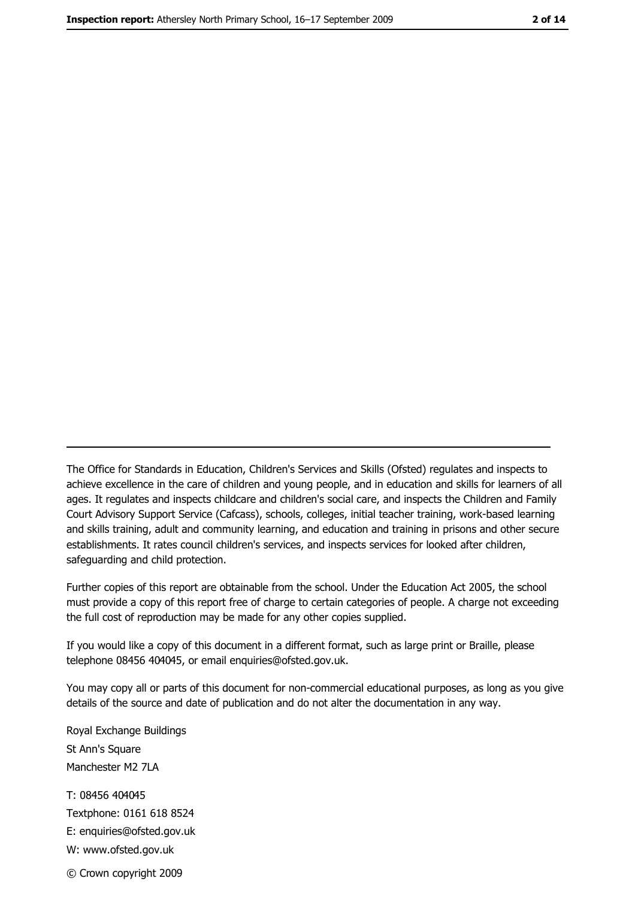The Office for Standards in Education, Children's Services and Skills (Ofsted) regulates and inspects to achieve excellence in the care of children and young people, and in education and skills for learners of all ages. It regulates and inspects childcare and children's social care, and inspects the Children and Family Court Advisory Support Service (Cafcass), schools, colleges, initial teacher training, work-based learning and skills training, adult and community learning, and education and training in prisons and other secure establishments. It rates council children's services, and inspects services for looked after children, safequarding and child protection.

Further copies of this report are obtainable from the school. Under the Education Act 2005, the school must provide a copy of this report free of charge to certain categories of people. A charge not exceeding the full cost of reproduction may be made for any other copies supplied.

If you would like a copy of this document in a different format, such as large print or Braille, please telephone 08456 404045, or email enquiries@ofsted.gov.uk.

You may copy all or parts of this document for non-commercial educational purposes, as long as you give details of the source and date of publication and do not alter the documentation in any way.

Royal Exchange Buildings St Ann's Square Manchester M2 7LA T: 08456 404045 Textphone: 0161 618 8524 E: enquiries@ofsted.gov.uk W: www.ofsted.gov.uk

© Crown copyright 2009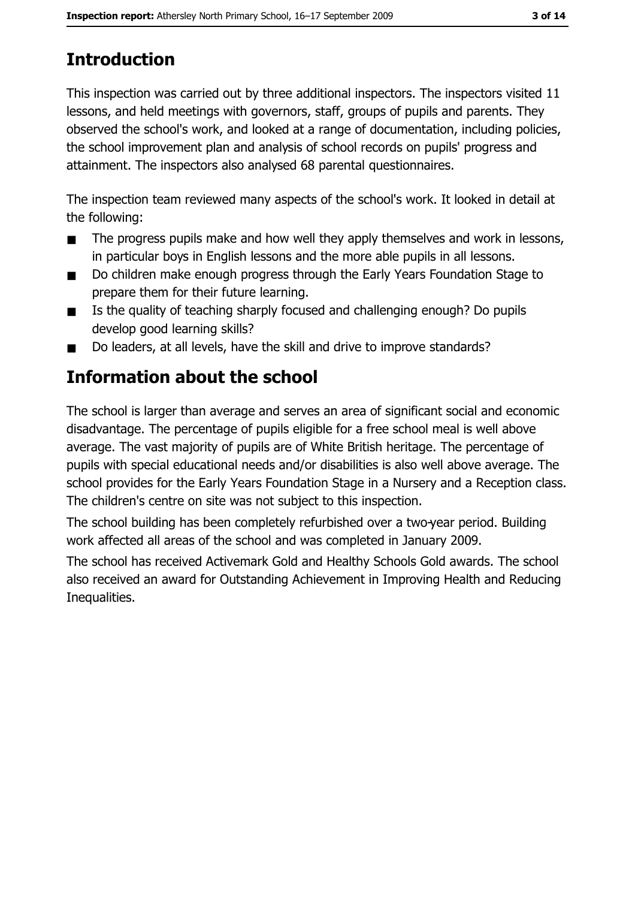# **Introduction**

This inspection was carried out by three additional inspectors. The inspectors visited 11 lessons, and held meetings with governors, staff, groups of pupils and parents. They observed the school's work, and looked at a range of documentation, including policies, the school improvement plan and analysis of school records on pupils' progress and attainment. The inspectors also analysed 68 parental questionnaires.

The inspection team reviewed many aspects of the school's work. It looked in detail at the following:

- The progress pupils make and how well they apply themselves and work in lessons,  $\blacksquare$ in particular boys in English lessons and the more able pupils in all lessons.
- Do children make enough progress through the Early Years Foundation Stage to  $\blacksquare$ prepare them for their future learning.
- Is the quality of teaching sharply focused and challenging enough? Do pupils  $\blacksquare$ develop good learning skills?
- Do leaders, at all levels, have the skill and drive to improve standards?  $\blacksquare$

# Information about the school

The school is larger than average and serves an area of significant social and economic disadvantage. The percentage of pupils eligible for a free school meal is well above average. The vast majority of pupils are of White British heritage. The percentage of pupils with special educational needs and/or disabilities is also well above average. The school provides for the Early Years Foundation Stage in a Nursery and a Reception class. The children's centre on site was not subject to this inspection.

The school building has been completely refurbished over a two-year period. Building work affected all areas of the school and was completed in January 2009.

The school has received Activemark Gold and Healthy Schools Gold awards. The school also received an award for Outstanding Achievement in Improving Health and Reducing Inequalities.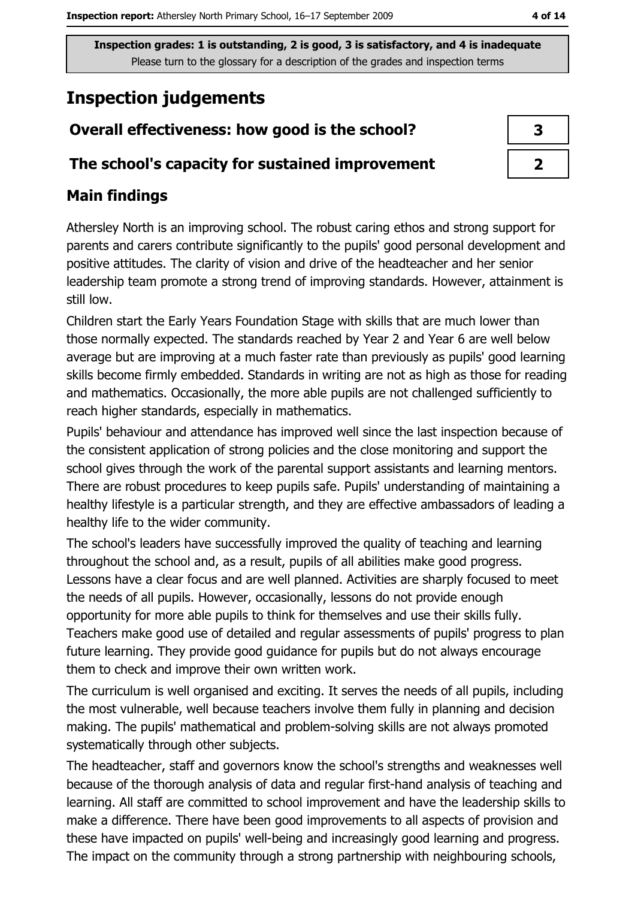# **Inspection judgements**

# Overall effectiveness: how good is the school?

## The school's capacity for sustained improvement

# **Main findings**

Athersley North is an improving school. The robust caring ethos and strong support for parents and carers contribute significantly to the pupils' good personal development and positive attitudes. The clarity of vision and drive of the headteacher and her senior leadership team promote a strong trend of improving standards. However, attainment is still low.

Children start the Early Years Foundation Stage with skills that are much lower than those normally expected. The standards reached by Year 2 and Year 6 are well below average but are improving at a much faster rate than previously as pupils' good learning skills become firmly embedded. Standards in writing are not as high as those for reading and mathematics. Occasionally, the more able pupils are not challenged sufficiently to reach higher standards, especially in mathematics.

Pupils' behaviour and attendance has improved well since the last inspection because of the consistent application of strong policies and the close monitoring and support the school gives through the work of the parental support assistants and learning mentors. There are robust procedures to keep pupils safe. Pupils' understanding of maintaining a healthy lifestyle is a particular strength, and they are effective ambassadors of leading a healthy life to the wider community.

The school's leaders have successfully improved the quality of teaching and learning throughout the school and, as a result, pupils of all abilities make good progress. Lessons have a clear focus and are well planned. Activities are sharply focused to meet the needs of all pupils. However, occasionally, lessons do not provide enough opportunity for more able pupils to think for themselves and use their skills fully. Teachers make good use of detailed and regular assessments of pupils' progress to plan future learning. They provide good guidance for pupils but do not always encourage them to check and improve their own written work.

The curriculum is well organised and exciting. It serves the needs of all pupils, including the most vulnerable, well because teachers involve them fully in planning and decision making. The pupils' mathematical and problem-solving skills are not always promoted systematically through other subjects.

The headteacher, staff and governors know the school's strengths and weaknesses well because of the thorough analysis of data and regular first-hand analysis of teaching and learning. All staff are committed to school improvement and have the leadership skills to make a difference. There have been good improvements to all aspects of provision and these have impacted on pupils' well-being and increasingly good learning and progress. The impact on the community through a strong partnership with neighbouring schools,

| З |
|---|
|   |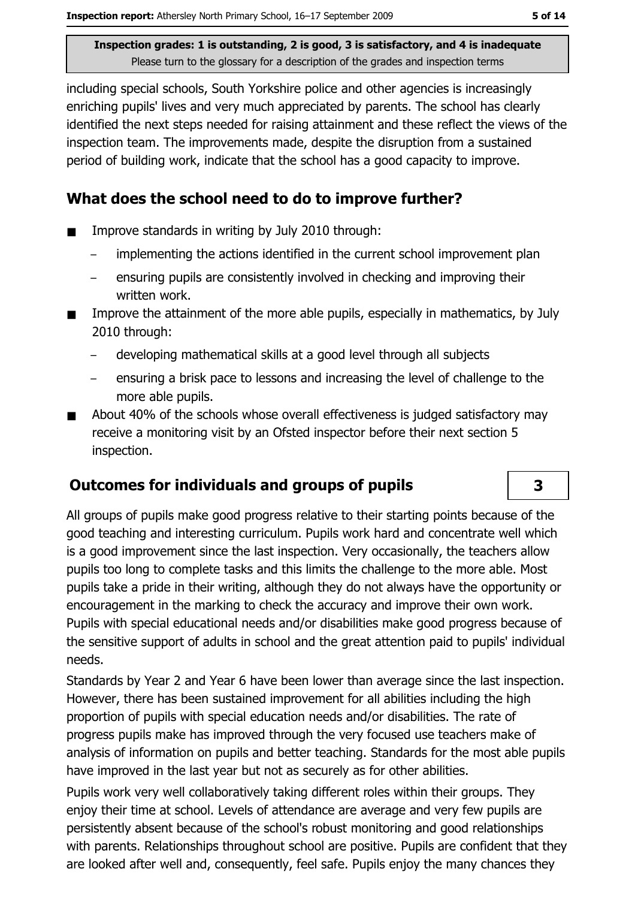including special schools, South Yorkshire police and other agencies is increasingly enriching pupils' lives and very much appreciated by parents. The school has clearly identified the next steps needed for raising attainment and these reflect the views of the inspection team. The improvements made, despite the disruption from a sustained period of building work, indicate that the school has a good capacity to improve.

## What does the school need to do to improve further?

- Improve standards in writing by July 2010 through:  $\blacksquare$ 
	- implementing the actions identified in the current school improvement plan
	- ensuring pupils are consistently involved in checking and improving their written work.
- Improve the attainment of the more able pupils, especially in mathematics, by July 2010 through:
	- developing mathematical skills at a good level through all subjects
	- ensuring a brisk pace to lessons and increasing the level of challenge to the more able pupils.
- About 40% of the schools whose overall effectiveness is judged satisfactory may  $\blacksquare$ receive a monitoring visit by an Ofsted inspector before their next section 5 inspection.

# **Outcomes for individuals and groups of pupils**

All groups of pupils make good progress relative to their starting points because of the good teaching and interesting curriculum. Pupils work hard and concentrate well which is a good improvement since the last inspection. Very occasionally, the teachers allow pupils too long to complete tasks and this limits the challenge to the more able. Most pupils take a pride in their writing, although they do not always have the opportunity or encouragement in the marking to check the accuracy and improve their own work. Pupils with special educational needs and/or disabilities make good progress because of the sensitive support of adults in school and the great attention paid to pupils' individual needs.

Standards by Year 2 and Year 6 have been lower than average since the last inspection. However, there has been sustained improvement for all abilities including the high proportion of pupils with special education needs and/or disabilities. The rate of progress pupils make has improved through the very focused use teachers make of analysis of information on pupils and better teaching. Standards for the most able pupils have improved in the last year but not as securely as for other abilities.

Pupils work very well collaboratively taking different roles within their groups. They enjoy their time at school. Levels of attendance are average and very few pupils are persistently absent because of the school's robust monitoring and good relationships with parents. Relationships throughout school are positive. Pupils are confident that they are looked after well and, consequently, feel safe. Pupils enjoy the many chances they

3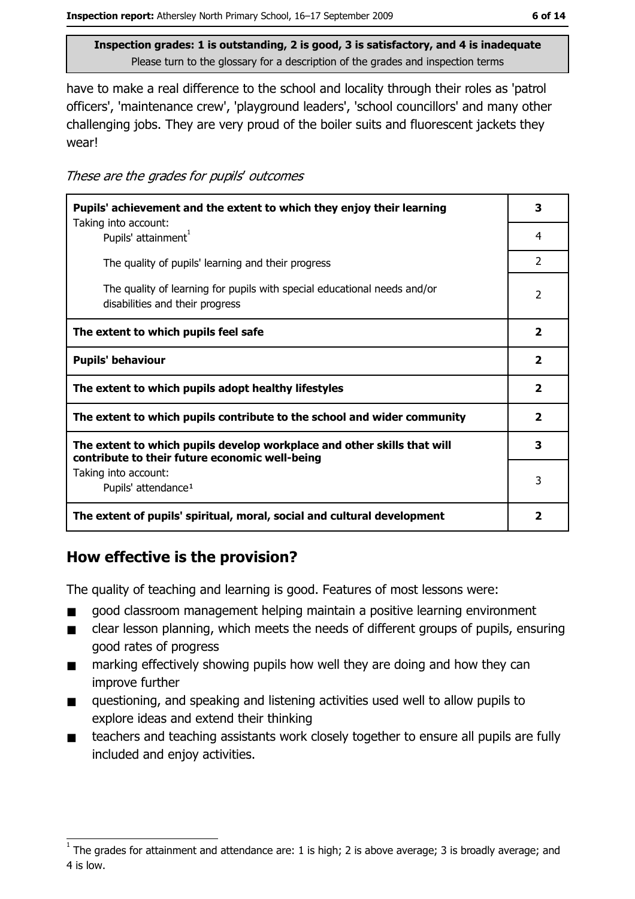have to make a real difference to the school and locality through their roles as 'patrol officers', 'maintenance crew', 'playground leaders', 'school councillors' and many other challenging jobs. They are very proud of the boiler suits and fluorescent jackets they wear!

| These are the grades for pupils' outcomes |  |  |  |
|-------------------------------------------|--|--|--|
|-------------------------------------------|--|--|--|

| Pupils' achievement and the extent to which they enjoy their learning                                                     |                         |  |
|---------------------------------------------------------------------------------------------------------------------------|-------------------------|--|
| Taking into account:<br>Pupils' attainment                                                                                |                         |  |
| The quality of pupils' learning and their progress                                                                        | $\mathcal{P}$           |  |
| The quality of learning for pupils with special educational needs and/or<br>disabilities and their progress               | $\mathcal{P}$           |  |
| The extent to which pupils feel safe                                                                                      | $\overline{\mathbf{2}}$ |  |
| <b>Pupils' behaviour</b>                                                                                                  | $\overline{\mathbf{2}}$ |  |
| The extent to which pupils adopt healthy lifestyles                                                                       | 2                       |  |
| The extent to which pupils contribute to the school and wider community                                                   |                         |  |
| The extent to which pupils develop workplace and other skills that will<br>contribute to their future economic well-being |                         |  |
| Taking into account:<br>Pupils' attendance <sup>1</sup>                                                                   | 3                       |  |
| The extent of pupils' spiritual, moral, social and cultural development                                                   |                         |  |

# How effective is the provision?

The quality of teaching and learning is good. Features of most lessons were:

- good classroom management helping maintain a positive learning environment  $\blacksquare$
- clear lesson planning, which meets the needs of different groups of pupils, ensuring  $\blacksquare$ good rates of progress
- marking effectively showing pupils how well they are doing and how they can  $\blacksquare$ improve further
- questioning, and speaking and listening activities used well to allow pupils to  $\blacksquare$ explore ideas and extend their thinking
- teachers and teaching assistants work closely together to ensure all pupils are fully  $\blacksquare$ included and enjoy activities.

 $1$  The grades for attainment and attendance are: 1 is high; 2 is above average; 3 is broadly average; and 4 is low.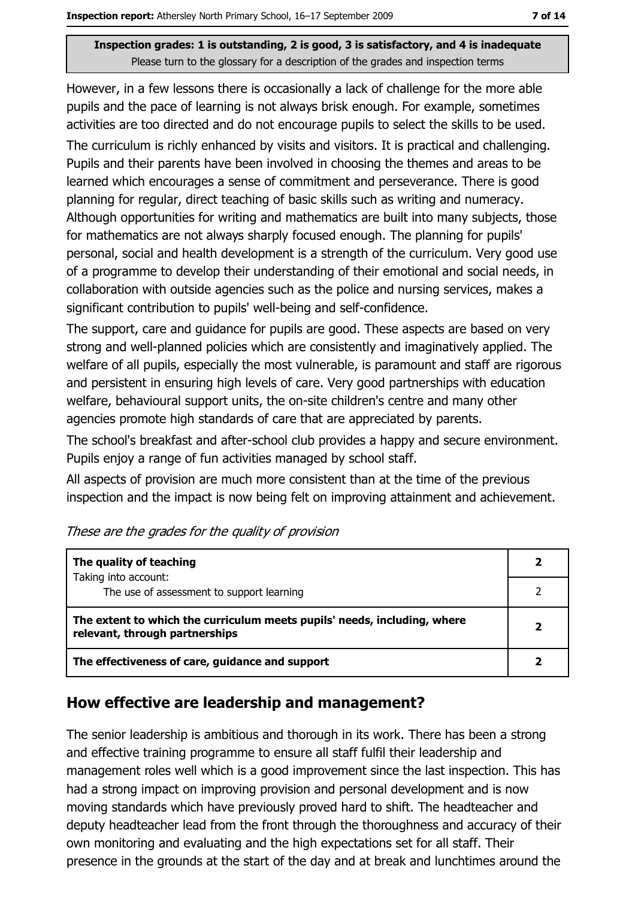However, in a few lessons there is occasionally a lack of challenge for the more able pupils and the pace of learning is not always brisk enough. For example, sometimes activities are too directed and do not encourage pupils to select the skills to be used.

The curriculum is richly enhanced by visits and visitors. It is practical and challenging. Pupils and their parents have been involved in choosing the themes and areas to be learned which encourages a sense of commitment and perseverance. There is good planning for regular, direct teaching of basic skills such as writing and numeracy. Although opportunities for writing and mathematics are built into many subjects, those for mathematics are not always sharply focused enough. The planning for pupils' personal, social and health development is a strength of the curriculum. Very good use of a programme to develop their understanding of their emotional and social needs, in collaboration with outside agencies such as the police and nursing services, makes a significant contribution to pupils' well-being and self-confidence.

The support, care and quidance for pupils are good. These aspects are based on very strong and well-planned policies which are consistently and imaginatively applied. The welfare of all pupils, especially the most vulnerable, is paramount and staff are rigorous and persistent in ensuring high levels of care. Very good partnerships with education welfare, behavioural support units, the on-site children's centre and many other agencies promote high standards of care that are appreciated by parents.

The school's breakfast and after-school club provides a happy and secure environment. Pupils enjoy a range of fun activities managed by school staff.

All aspects of provision are much more consistent than at the time of the previous inspection and the impact is now being felt on improving attainment and achievement.

| The quality of teaching                                                                                    |  |  |
|------------------------------------------------------------------------------------------------------------|--|--|
| Taking into account:<br>The use of assessment to support learning                                          |  |  |
| The extent to which the curriculum meets pupils' needs, including, where<br>relevant, through partnerships |  |  |
| The effectiveness of care, guidance and support                                                            |  |  |

# How effective are leadership and management?

The senior leadership is ambitious and thorough in its work. There has been a strong and effective training programme to ensure all staff fulfil their leadership and management roles well which is a good improvement since the last inspection. This has had a strong impact on improving provision and personal development and is now moving standards which have previously proved hard to shift. The headteacher and deputy headteacher lead from the front through the thoroughness and accuracy of their own monitoring and evaluating and the high expectations set for all staff. Their presence in the grounds at the start of the day and at break and lunchtimes around the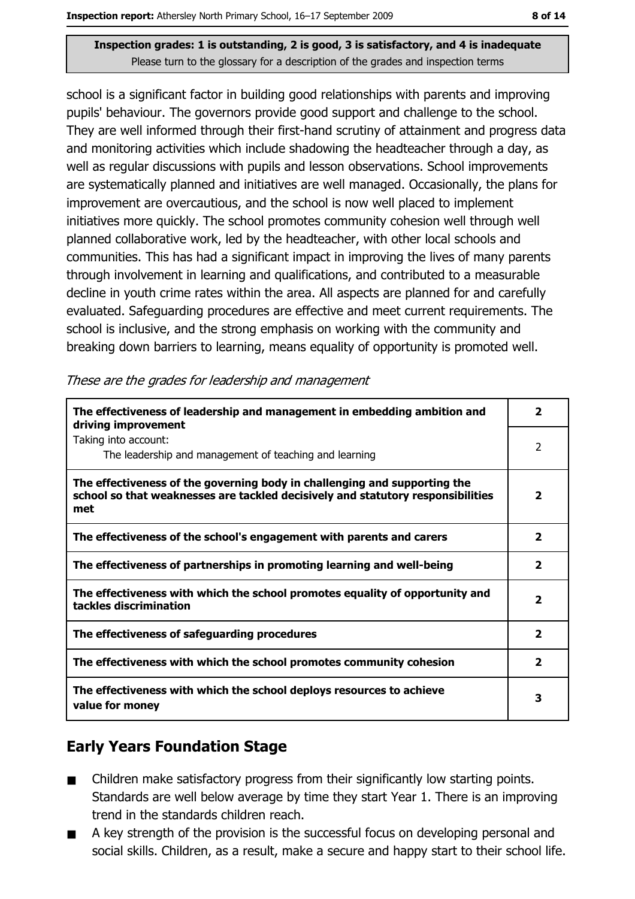school is a significant factor in building good relationships with parents and improving pupils' behaviour. The governors provide good support and challenge to the school. They are well informed through their first-hand scrutiny of attainment and progress data and monitoring activities which include shadowing the headteacher through a day, as well as regular discussions with pupils and lesson observations. School improvements are systematically planned and initiatives are well managed. Occasionally, the plans for improvement are overcautious, and the school is now well placed to implement initiatives more quickly. The school promotes community cohesion well through well planned collaborative work, led by the headteacher, with other local schools and communities. This has had a significant impact in improving the lives of many parents through involvement in learning and qualifications, and contributed to a measurable decline in youth crime rates within the area. All aspects are planned for and carefully evaluated. Safeguarding procedures are effective and meet current requirements. The school is inclusive, and the strong emphasis on working with the community and breaking down barriers to learning, means equality of opportunity is promoted well.

| The effectiveness of leadership and management in embedding ambition and<br>driving improvement                                                                     |                         |  |
|---------------------------------------------------------------------------------------------------------------------------------------------------------------------|-------------------------|--|
| Taking into account:<br>The leadership and management of teaching and learning                                                                                      | 2                       |  |
| The effectiveness of the governing body in challenging and supporting the<br>school so that weaknesses are tackled decisively and statutory responsibilities<br>met | 2                       |  |
| The effectiveness of the school's engagement with parents and carers                                                                                                | $\overline{\mathbf{2}}$ |  |
| The effectiveness of partnerships in promoting learning and well-being                                                                                              | 2                       |  |
| The effectiveness with which the school promotes equality of opportunity and<br>tackles discrimination                                                              | $\overline{\mathbf{2}}$ |  |
| The effectiveness of safeguarding procedures                                                                                                                        | $\mathbf{2}$            |  |
| The effectiveness with which the school promotes community cohesion                                                                                                 | 2                       |  |
| The effectiveness with which the school deploys resources to achieve<br>value for money                                                                             |                         |  |

## **Early Years Foundation Stage**

- Children make satisfactory progress from their significantly low starting points.  $\blacksquare$ Standards are well below average by time they start Year 1. There is an improving trend in the standards children reach.
- A key strength of the provision is the successful focus on developing personal and  $\blacksquare$ social skills. Children, as a result, make a secure and happy start to their school life.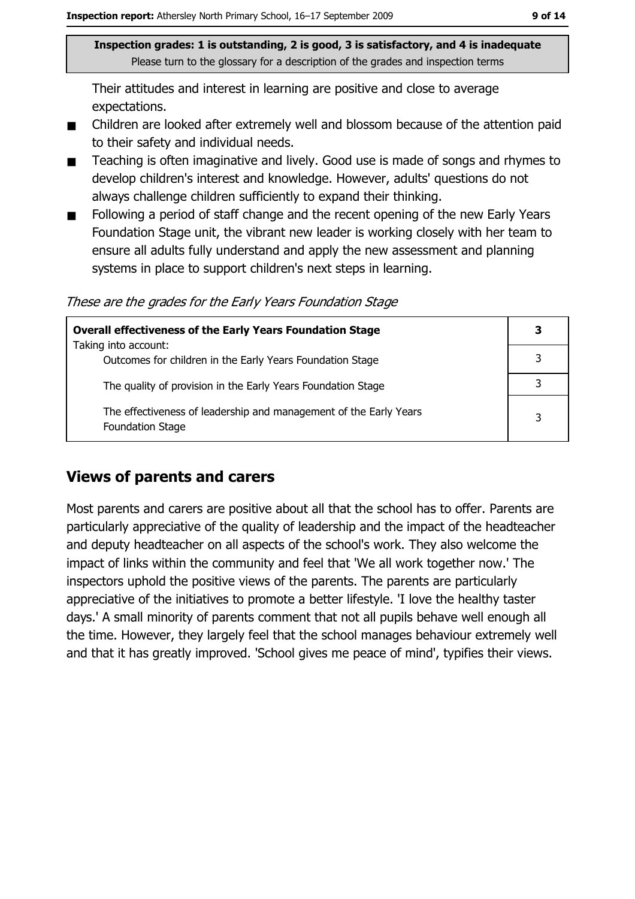Their attitudes and interest in learning are positive and close to average expectations.

- Children are looked after extremely well and blossom because of the attention paid  $\blacksquare$ to their safety and individual needs.
- Teaching is often imaginative and lively. Good use is made of songs and rhymes to  $\blacksquare$ develop children's interest and knowledge. However, adults' questions do not always challenge children sufficiently to expand their thinking.
- Following a period of staff change and the recent opening of the new Early Years  $\blacksquare$ Foundation Stage unit, the vibrant new leader is working closely with her team to ensure all adults fully understand and apply the new assessment and planning systems in place to support children's next steps in learning.

These are the grades for the Early Years Foundation Stage

| <b>Overall effectiveness of the Early Years Foundation Stage</b>                             |   |  |
|----------------------------------------------------------------------------------------------|---|--|
| Taking into account:                                                                         |   |  |
| Outcomes for children in the Early Years Foundation Stage                                    |   |  |
| The quality of provision in the Early Years Foundation Stage                                 |   |  |
|                                                                                              |   |  |
| The effectiveness of leadership and management of the Early Years<br><b>Foundation Stage</b> | 3 |  |

## **Views of parents and carers**

Most parents and carers are positive about all that the school has to offer. Parents are particularly appreciative of the quality of leadership and the impact of the headteacher and deputy headteacher on all aspects of the school's work. They also welcome the impact of links within the community and feel that 'We all work together now.' The inspectors uphold the positive views of the parents. The parents are particularly appreciative of the initiatives to promote a better lifestyle. 'I love the healthy taster days.' A small minority of parents comment that not all pupils behave well enough all the time. However, they largely feel that the school manages behaviour extremely well and that it has greatly improved. 'School gives me peace of mind', typifies their views.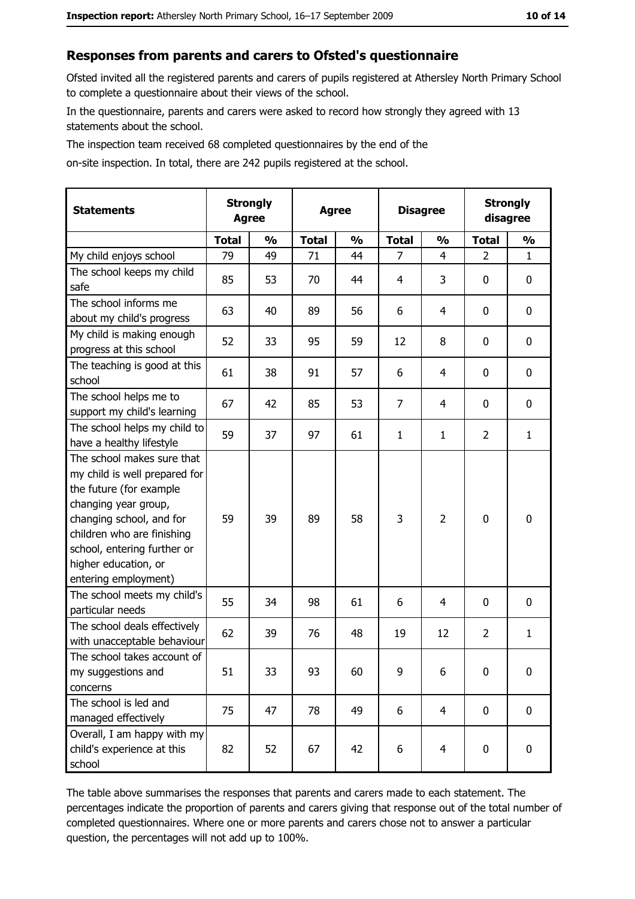#### Responses from parents and carers to Ofsted's questionnaire

Ofsted invited all the registered parents and carers of pupils registered at Athersley North Primary School to complete a questionnaire about their views of the school.

In the questionnaire, parents and carers were asked to record how strongly they agreed with 13 statements about the school.

The inspection team received 68 completed questionnaires by the end of the

on-site inspection. In total, there are 242 pupils registered at the school.

| <b>Statements</b>                                                                                                                                                                                                                                       | <b>Strongly</b><br><b>Agree</b><br><b>Agree</b> |               | <b>Disagree</b> |               | <b>Strongly</b><br>disagree |                |                |               |
|---------------------------------------------------------------------------------------------------------------------------------------------------------------------------------------------------------------------------------------------------------|-------------------------------------------------|---------------|-----------------|---------------|-----------------------------|----------------|----------------|---------------|
|                                                                                                                                                                                                                                                         | <b>Total</b>                                    | $\frac{0}{0}$ | <b>Total</b>    | $\frac{0}{0}$ | <b>Total</b>                | $\frac{0}{0}$  | <b>Total</b>   | $\frac{1}{2}$ |
| My child enjoys school                                                                                                                                                                                                                                  | 79                                              | 49            | 71              | 44            | $\overline{7}$              | $\overline{4}$ | $\overline{2}$ | $\mathbf{1}$  |
| The school keeps my child<br>safe                                                                                                                                                                                                                       | 85                                              | 53            | 70              | 44            | 4                           | 3              | 0              | 0             |
| The school informs me<br>about my child's progress                                                                                                                                                                                                      | 63                                              | 40            | 89              | 56            | 6                           | 4              | 0              | $\mathbf 0$   |
| My child is making enough<br>progress at this school                                                                                                                                                                                                    | 52                                              | 33            | 95              | 59            | 12                          | 8              | 0              | 0             |
| The teaching is good at this<br>school                                                                                                                                                                                                                  | 61                                              | 38            | 91              | 57            | 6                           | 4              | 0              | $\mathbf 0$   |
| The school helps me to<br>support my child's learning                                                                                                                                                                                                   | 67                                              | 42            | 85              | 53            | $\overline{7}$              | 4              | 0              | $\mathbf 0$   |
| The school helps my child to<br>have a healthy lifestyle                                                                                                                                                                                                | 59                                              | 37            | 97              | 61            | $\mathbf{1}$                | 1              | 2              | $\mathbf{1}$  |
| The school makes sure that<br>my child is well prepared for<br>the future (for example<br>changing year group,<br>changing school, and for<br>children who are finishing<br>school, entering further or<br>higher education, or<br>entering employment) | 59                                              | 39            | 89              | 58            | 3                           | $\overline{2}$ | 0              | $\mathbf 0$   |
| The school meets my child's<br>particular needs                                                                                                                                                                                                         | 55                                              | 34            | 98              | 61            | 6                           | 4              | 0              | $\mathbf 0$   |
| The school deals effectively<br>with unacceptable behaviour                                                                                                                                                                                             | 62                                              | 39            | 76              | 48            | 19                          | 12             | $\overline{2}$ | $\mathbf{1}$  |
| The school takes account of<br>my suggestions and<br>concerns                                                                                                                                                                                           | 51                                              | 33            | 93              | 60            | 9                           | 6              | 0              | 0             |
| The school is led and<br>managed effectively                                                                                                                                                                                                            | 75                                              | 47            | 78              | 49            | 6                           | $\overline{4}$ | $\mathbf 0$    | $\mathbf 0$   |
| Overall, I am happy with my<br>child's experience at this<br>school                                                                                                                                                                                     | 82                                              | 52            | 67              | 42            | 6                           | $\overline{4}$ | 0              | $\mathbf 0$   |

The table above summarises the responses that parents and carers made to each statement. The percentages indicate the proportion of parents and carers giving that response out of the total number of completed questionnaires. Where one or more parents and carers chose not to answer a particular question, the percentages will not add up to 100%.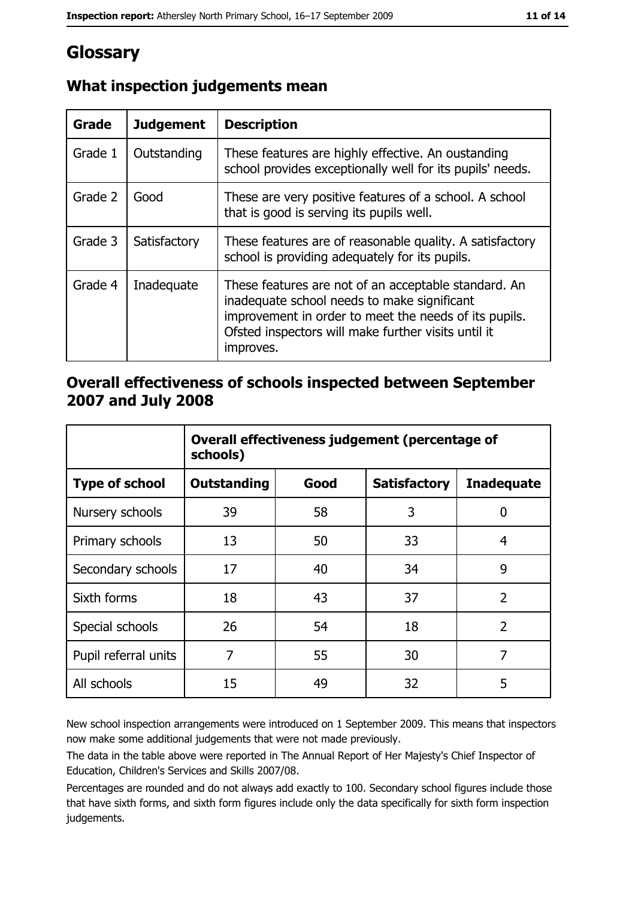# **Glossary**

| Grade   | <b>Judgement</b> | <b>Description</b>                                                                                                                                                                                                               |
|---------|------------------|----------------------------------------------------------------------------------------------------------------------------------------------------------------------------------------------------------------------------------|
| Grade 1 | Outstanding      | These features are highly effective. An oustanding<br>school provides exceptionally well for its pupils' needs.                                                                                                                  |
| Grade 2 | Good             | These are very positive features of a school. A school<br>that is good is serving its pupils well.                                                                                                                               |
| Grade 3 | Satisfactory     | These features are of reasonable quality. A satisfactory<br>school is providing adequately for its pupils.                                                                                                                       |
| Grade 4 | Inadequate       | These features are not of an acceptable standard. An<br>inadequate school needs to make significant<br>improvement in order to meet the needs of its pupils.<br>Ofsted inspectors will make further visits until it<br>improves. |

# What inspection judgements mean

# Overall effectiveness of schools inspected between September 2007 and July 2008

|                       | Overall effectiveness judgement (percentage of<br>schools) |      |                     |                   |
|-----------------------|------------------------------------------------------------|------|---------------------|-------------------|
| <b>Type of school</b> | <b>Outstanding</b>                                         | Good | <b>Satisfactory</b> | <b>Inadequate</b> |
| Nursery schools       | 39                                                         | 58   | 3                   | 0                 |
| Primary schools       | 13                                                         | 50   | 33                  | 4                 |
| Secondary schools     | 17                                                         | 40   | 34                  | 9                 |
| Sixth forms           | 18                                                         | 43   | 37                  | $\overline{2}$    |
| Special schools       | 26                                                         | 54   | 18                  | $\overline{2}$    |
| Pupil referral units  | 7                                                          | 55   | 30                  | 7                 |
| All schools           | 15                                                         | 49   | 32                  | 5                 |

New school inspection arrangements were introduced on 1 September 2009. This means that inspectors now make some additional judgements that were not made previously.

The data in the table above were reported in The Annual Report of Her Majesty's Chief Inspector of Education, Children's Services and Skills 2007/08.

Percentages are rounded and do not always add exactly to 100. Secondary school figures include those that have sixth forms, and sixth form figures include only the data specifically for sixth form inspection judgements.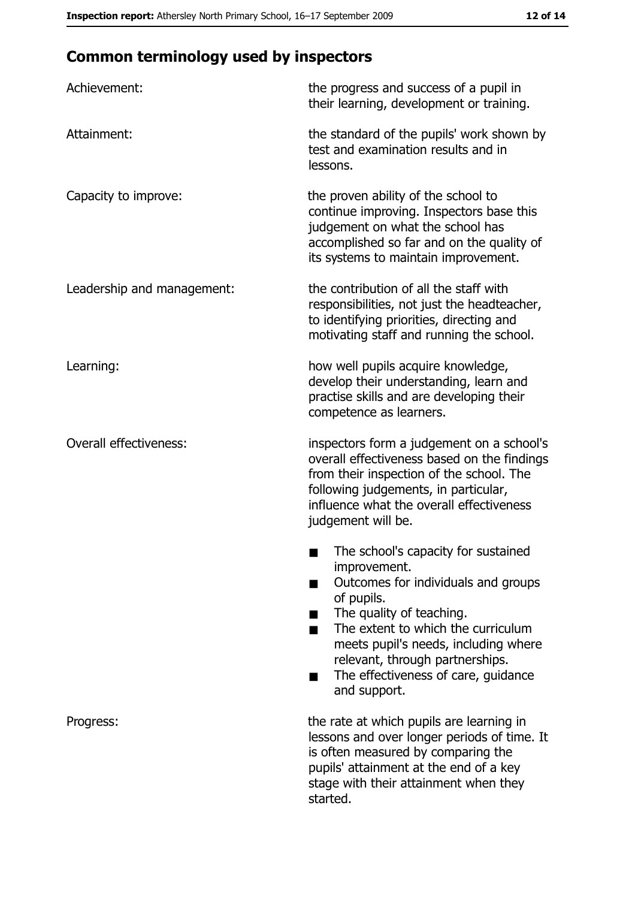# **Common terminology used by inspectors**

| Achievement:                  | the progress and success of a pupil in<br>their learning, development or training.                                                                                                                                                                                                                           |  |  |
|-------------------------------|--------------------------------------------------------------------------------------------------------------------------------------------------------------------------------------------------------------------------------------------------------------------------------------------------------------|--|--|
| Attainment:                   | the standard of the pupils' work shown by<br>test and examination results and in<br>lessons.                                                                                                                                                                                                                 |  |  |
| Capacity to improve:          | the proven ability of the school to<br>continue improving. Inspectors base this<br>judgement on what the school has<br>accomplished so far and on the quality of<br>its systems to maintain improvement.                                                                                                     |  |  |
| Leadership and management:    | the contribution of all the staff with<br>responsibilities, not just the headteacher,<br>to identifying priorities, directing and<br>motivating staff and running the school.                                                                                                                                |  |  |
| Learning:                     | how well pupils acquire knowledge,<br>develop their understanding, learn and<br>practise skills and are developing their<br>competence as learners.                                                                                                                                                          |  |  |
| <b>Overall effectiveness:</b> | inspectors form a judgement on a school's<br>overall effectiveness based on the findings<br>from their inspection of the school. The<br>following judgements, in particular,<br>influence what the overall effectiveness<br>judgement will be.                                                               |  |  |
|                               | The school's capacity for sustained<br>improvement.<br>Outcomes for individuals and groups<br>of pupils.<br>The quality of teaching.<br>The extent to which the curriculum<br>meets pupil's needs, including where<br>relevant, through partnerships.<br>The effectiveness of care, guidance<br>and support. |  |  |
| Progress:                     | the rate at which pupils are learning in<br>lessons and over longer periods of time. It<br>is often measured by comparing the<br>pupils' attainment at the end of a key<br>stage with their attainment when they<br>started.                                                                                 |  |  |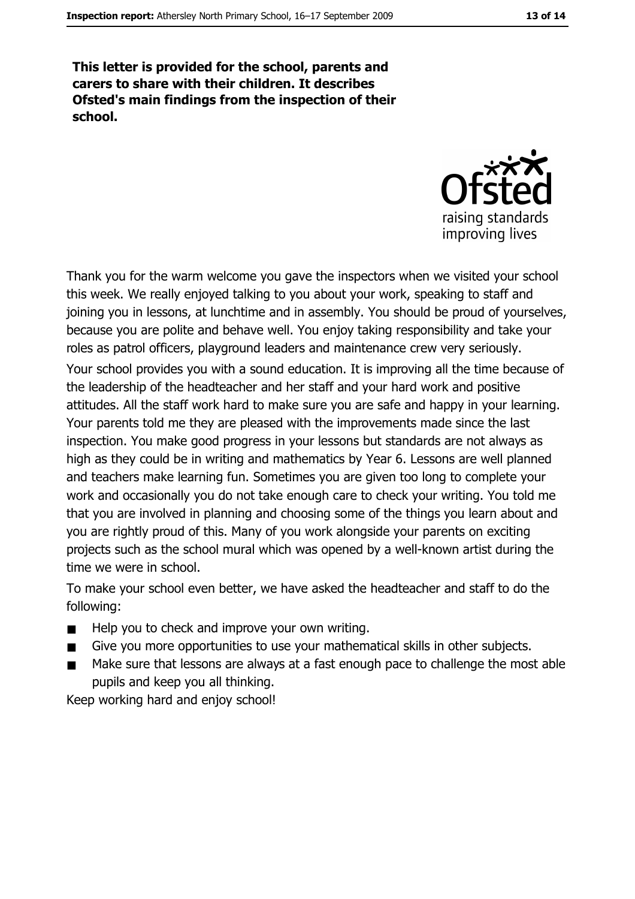This letter is provided for the school, parents and carers to share with their children. It describes Ofsted's main findings from the inspection of their school.



Thank you for the warm welcome you gave the inspectors when we visited your school this week. We really enjoyed talking to you about your work, speaking to staff and joining you in lessons, at lunchtime and in assembly. You should be proud of yourselves, because you are polite and behave well. You enjoy taking responsibility and take your roles as patrol officers, playground leaders and maintenance crew very seriously.

Your school provides you with a sound education. It is improving all the time because of the leadership of the headteacher and her staff and your hard work and positive attitudes. All the staff work hard to make sure you are safe and happy in your learning. Your parents told me they are pleased with the improvements made since the last inspection. You make good progress in your lessons but standards are not always as high as they could be in writing and mathematics by Year 6. Lessons are well planned and teachers make learning fun. Sometimes you are given too long to complete your work and occasionally you do not take enough care to check your writing. You told me that you are involved in planning and choosing some of the things you learn about and you are rightly proud of this. Many of you work alongside your parents on exciting projects such as the school mural which was opened by a well-known artist during the time we were in school.

To make your school even better, we have asked the headteacher and staff to do the following:

- Help you to check and improve your own writing.  $\blacksquare$
- Give you more opportunities to use your mathematical skills in other subjects.  $\blacksquare$
- Make sure that lessons are always at a fast enough pace to challenge the most able  $\blacksquare$ pupils and keep you all thinking.

Keep working hard and enjoy school!